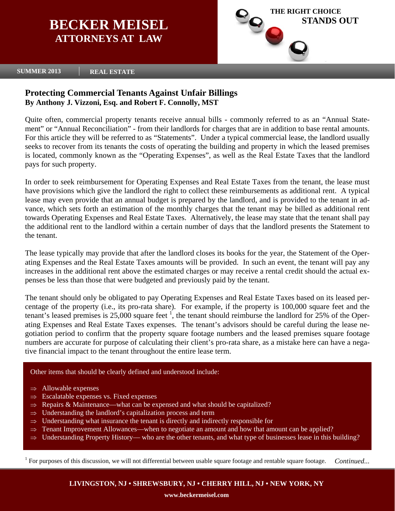# **BECKER MEISEL ATTORNEYS AT LAW**



## **SUMMER 2013 REAL ESTATE**

# **Protecting Commercial Tenants Against Unfair Billings By Anthony J. Vizzoni, Esq. and Robert F. Connolly, MST**

Quite often, commercial property tenants receive annual bills - commonly referred to as an "Annual Statement" or "Annual Reconciliation" - from their landlords for charges that are in addition to base rental amounts. For this article they will be referred to as "Statements". Under a typical commercial lease, the landlord usually seeks to recover from its tenants the costs of operating the building and property in which the leased premises is located, commonly known as the "Operating Expenses", as well as the Real Estate Taxes that the landlord pays for such property.

In order to seek reimbursement for Operating Expenses and Real Estate Taxes from the tenant, the lease must have provisions which give the landlord the right to collect these reimbursements as additional rent. A typical lease may even provide that an annual budget is prepared by the landlord, and is provided to the tenant in advance, which sets forth an estimation of the monthly charges that the tenant may be billed as additional rent towards Operating Expenses and Real Estate Taxes. Alternatively, the lease may state that the tenant shall pay the additional rent to the landlord within a certain number of days that the landlord presents the Statement to the tenant.

The lease typically may provide that after the landlord closes its books for the year, the Statement of the Operating Expenses and the Real Estate Taxes amounts will be provided. In such an event, the tenant will pay any increases in the additional rent above the estimated charges or may receive a rental credit should the actual expenses be less than those that were budgeted and previously paid by the tenant.

The tenant should only be obligated to pay Operating Expenses and Real Estate Taxes based on its leased percentage of the property (i.e., its pro-rata share). For example, if the property is 100,000 square feet and the tenant's leased premises is  $25,000$  square feet  $\frac{1}{1}$ , the tenant should reimburse the landlord for  $25\%$  of the Operating Expenses and Real Estate Taxes expenses. The tenant's advisors should be careful during the lease negotiation period to confirm that the property square footage numbers and the leased premises square footage numbers are accurate for purpose of calculating their client's pro-rata share, as a mistake here can have a negative financial impact to the tenant throughout the entire lease term.

## Other items that should be clearly defined and understood include:

- $\Rightarrow$  Allowable expenses
- $\Rightarrow$  Escalatable expenses vs. Fixed expenses
- $\Rightarrow$  Repairs & Maintenance—what can be expensed and what should be capitalized?
- $\Rightarrow$  Understanding the landlord's capitalization process and term
- ⇒ Understanding what insurance the tenant is directly and indirectly responsible for
- $\Rightarrow$  Tenant Improvement Allowances—when to negotiate an amount and how that amount can be applied?
- Understanding Property History— who are the other tenants, and what type of businesses lease in this building?

 $1$  For purposes of this discussion, we will not differential between usable square footage and rentable square footage. *Continued...* 

**LIVINGSTON, NJ • SHREWSBURY, NJ • CHERRY HILL, NJ • NEW YORK, NY**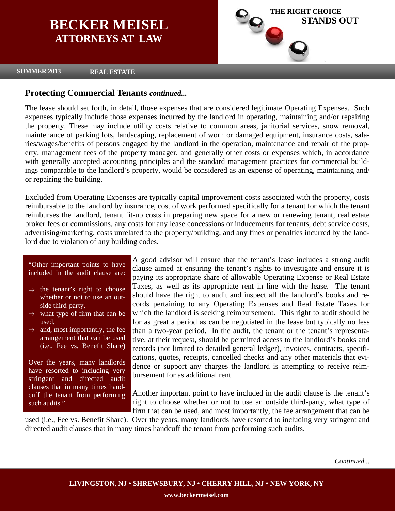# **BECKER MEISEL ATTORNEYS AT LAW**



## **SUMMER 2013 REAL ESTATE**

# **Protecting Commercial Tenants** *continued...*

The lease should set forth, in detail, those expenses that are considered legitimate Operating Expenses. Such expenses typically include those expenses incurred by the landlord in operating, maintaining and/or repairing the property. These may include utility costs relative to common areas, janitorial services, snow removal, maintenance of parking lots, landscaping, replacement of worn or damaged equipment, insurance costs, salaries/wages/benefits of persons engaged by the landlord in the operation, maintenance and repair of the property, management fees of the property manager, and generally other costs or expenses which, in accordance with generally accepted accounting principles and the standard management practices for commercial buildings comparable to the landlord's property, would be considered as an expense of operating, maintaining and/ or repairing the building.

Excluded from Operating Expenses are typically capital improvement costs associated with the property, costs reimbursable to the landlord by insurance, cost of work performed specifically for a tenant for which the tenant reimburses the landlord, tenant fit-up costs in preparing new space for a new or renewing tenant, real estate broker fees or commissions, any costs for any lease concessions or inducements for tenants, debt service costs, advertising/marketing, costs unrelated to the property/building, and any fines or penalties incurred by the landlord due to violation of any building codes.

"Other important points to have included in the audit clause are:

- $\Rightarrow$  the tenant's right to choose whether or not to use an outside third-party,
- $\Rightarrow$  what type of firm that can be used,
- $\Rightarrow$  and, most importantly, the fee arrangement that can be used (i.e., Fee vs. Benefit Share)

Over the years, many landlords have resorted to including very stringent and directed audit clauses that in many times handcuff the tenant from performing such audits."

A good advisor will ensure that the tenant's lease includes a strong audit clause aimed at ensuring the tenant's rights to investigate and ensure it is paying its appropriate share of allowable Operating Expense or Real Estate Taxes, as well as its appropriate rent in line with the lease. The tenant should have the right to audit and inspect all the landlord's books and records pertaining to any Operating Expenses and Real Estate Taxes for which the landlord is seeking reimbursement. This right to audit should be for as great a period as can be negotiated in the lease but typically no less than a two-year period. In the audit, the tenant or the tenant's representative, at their request, should be permitted access to the landlord's books and records (not limited to detailed general ledger), invoices, contracts, specifications, quotes, receipts, cancelled checks and any other materials that evidence or support any charges the landlord is attempting to receive reimbursement for as additional rent.

Another important point to have included in the audit clause is the tenant's right to choose whether or not to use an outside third-party, what type of firm that can be used, and most importantly, the fee arrangement that can be

used (i.e., Fee vs. Benefit Share). Over the years, many landlords have resorted to including very stringent and directed audit clauses that in many times handcuff the tenant from performing such audits.

*Continued...*